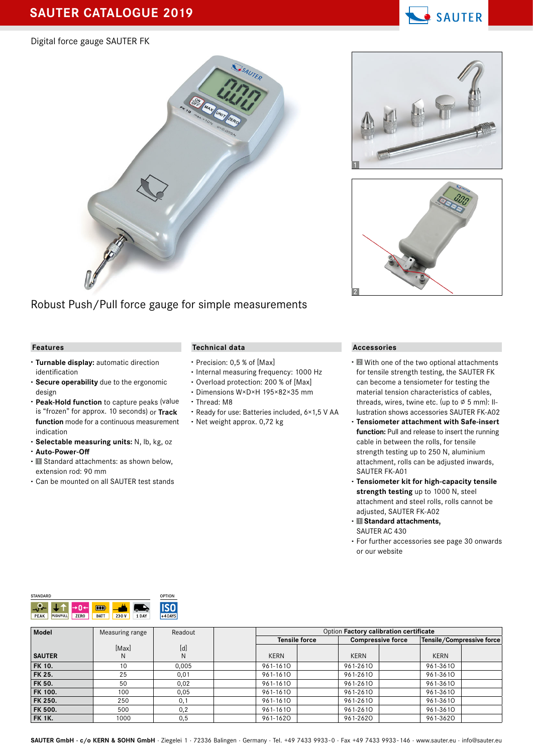# **SAUTER CATALOGUE 2019**

#### Digital force gauge SAUTER FK

Robust Push/Pull force gauge for simple measurements

#### **Features**

- **· Turnable display:** automatic direction identification
- **· Secure operability** due to the ergonomic design
- **· Peak-Hold function** to capture peaks (value is "frozen" for approx. 10 seconds) or **Track function** mode for a continuous measurement indication
- **· Selectable measuring units:** N, lb, kg, oz
- **· Auto-Power-Off**
- **·** Standard attachments: as shown below, extension rod: 90 mm
- **·** Can be mounted on all SAUTER test stands

#### **Technical data**

- **·** Precision: 0,5 % of [Max]
- **·** Internal measuring frequency: 1000 Hz
- **·** Overload protection: 200 % of [Max]
- **·** Dimensions W×D×H 195×82×35 mm
- **·** Thread: M8
- **·** Ready for use: Batteries included, 6×1,5 V AA
- **·** Net weight approx. 0,72 kg

#### **Accessories**

- **·** With one of the two optional attachments for tensile strength testing, the SAUTER FK can become a tensiometer for testing the material tension characteristics of cables, threads, wires, twine etc. (up to  $\varnothing$  5 mm): Illustration shows accessories SAUTER FK-A02
- **· Tensiometer attachment with Safe-insert function:** Pull and release to insert the running cable in between the rolls, for tensile strength testing up to 250 N, aluminium attachment, rolls can be adjusted inwards, SAUTER FK-A01
- **· Tensiometer kit for high-capacity tensile strength testing** up to 1000 N, steel attachment and steel rolls, rolls cannot be adjusted, SAUTER FK-A02
- **· Standard attachments,** SAUTER AC 430
- For further accessories see page 30 onwards or our website

| <b>STANDARD</b> | OPTION           |             |             |       |        |           |
|-----------------|------------------|-------------|-------------|-------|--------|-----------|
| ø               |                  |             | m           |       | n<br>ω |           |
| <b>PEAK</b>     | <b>PUSH/PULL</b> | <b>ZERO</b> | <b>BAT1</b> | 230 V | 1 DAY  | $+4$ DAYS |

|                |            |          |             | <b>Tensile force</b> | <b>Compressive force</b> | Tensile/Compressive force |  |
|----------------|------------|----------|-------------|----------------------|--------------------------|---------------------------|--|
| <b>SAUTER</b>  | [Max]<br>N | [d]<br>N | <b>KERN</b> | <b>KERN</b>          |                          | <b>KERN</b>               |  |
| <b>FK 10.</b>  | 10         | 0.005    | 961-1610    | 961-2610             |                          | 961-3610                  |  |
| <b>FK 25.</b>  | 25         | 0,01     | 961-1610    | 961-2610             |                          | 961-3610                  |  |
| <b>FK 50.</b>  | 50         | 0.02     | 961-1610    | 961-2610             |                          | 961-3610                  |  |
| <b>FK 100.</b> | 100        | 0,05     | 961-1610    | 961-2610             |                          | 961-3610                  |  |
| FK 250.        | 250        | 0,1      | 961-1610    | 961-2610             |                          | 961-3610                  |  |
| <b>FK 500.</b> | 500        | 0,2      | 961-1610    | 961-2610             |                          | 961-3610                  |  |
| FK 1K.         | 1000       | 0,5      | 961-1620    | 961-2620             |                          | 961-3620                  |  |

**Model** Measuring range Readout Readout **Option Factory calibration certificate** 

#### SAUTER GmbH · c/o KERN & SOHN GmbH · Ziegelei 1 · 72336 Balingen · Germany · Tel. +49 7433 9933-0 · Fax +49 7433 9933-146 · www.sauter.eu · info@sauter.eu